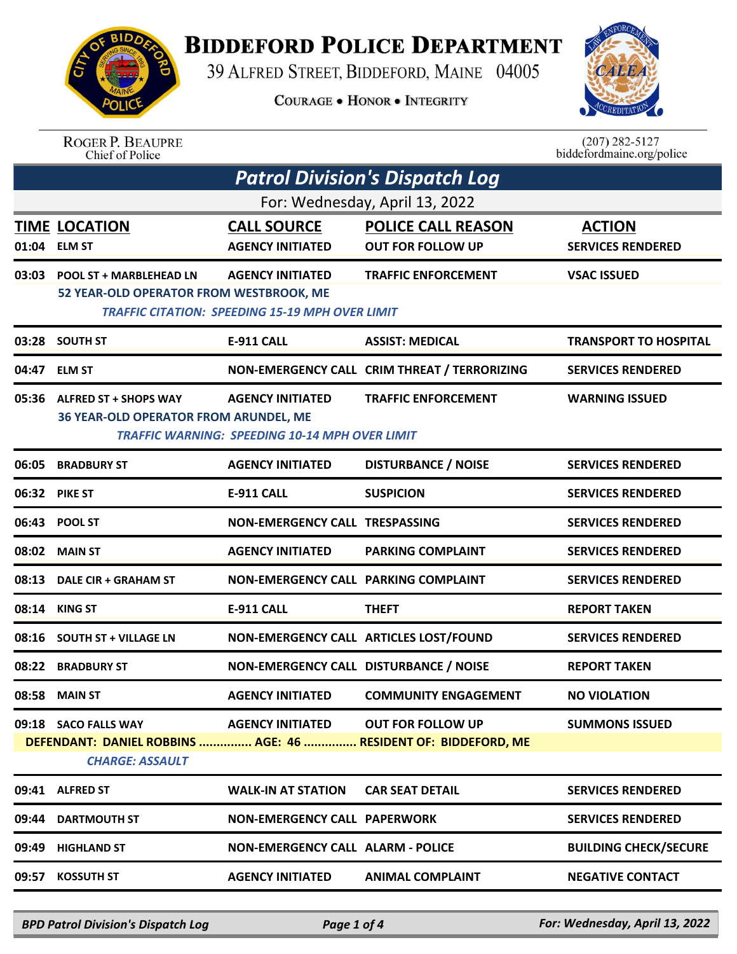

## **BIDDEFORD POLICE DEPARTMENT**

39 ALFRED STREET, BIDDEFORD, MAINE 04005

**COURAGE . HONOR . INTEGRITY** 



ROGER P. BEAUPRE<br>Chief of Police

 $(207)$  282-5127<br>biddefordmaine.org/police

| <b>Patrol Division's Dispatch Log</b> |                                                                           |                                                                                   |                                                                                            |                                           |  |  |  |  |
|---------------------------------------|---------------------------------------------------------------------------|-----------------------------------------------------------------------------------|--------------------------------------------------------------------------------------------|-------------------------------------------|--|--|--|--|
| For: Wednesday, April 13, 2022        |                                                                           |                                                                                   |                                                                                            |                                           |  |  |  |  |
|                                       | <b>TIME LOCATION</b><br>01:04 ELM ST                                      | <b>CALL SOURCE</b><br><b>AGENCY INITIATED</b>                                     | <b>POLICE CALL REASON</b><br><b>OUT FOR FOLLOW UP</b>                                      | <b>ACTION</b><br><b>SERVICES RENDERED</b> |  |  |  |  |
| 03:03                                 | <b>POOL ST + MARBLEHEAD LN</b><br>52 YEAR-OLD OPERATOR FROM WESTBROOK, ME | <b>AGENCY INITIATED</b><br><b>TRAFFIC CITATION: SPEEDING 15-19 MPH OVER LIMIT</b> | <b>TRAFFIC ENFORCEMENT</b>                                                                 | <b>VSAC ISSUED</b>                        |  |  |  |  |
|                                       | 03:28 SOUTH ST                                                            | <b>E-911 CALL</b>                                                                 | <b>ASSIST: MEDICAL</b>                                                                     | <b>TRANSPORT TO HOSPITAL</b>              |  |  |  |  |
| 04:47                                 | <b>ELM ST</b>                                                             |                                                                                   | NON-EMERGENCY CALL CRIM THREAT / TERRORIZING                                               | <b>SERVICES RENDERED</b>                  |  |  |  |  |
| 05:36                                 | <b>ALFRED ST + SHOPS WAY</b><br>36 YEAR-OLD OPERATOR FROM ARUNDEL, ME     | <b>AGENCY INITIATED</b><br><b>TRAFFIC WARNING: SPEEDING 10-14 MPH OVER LIMIT</b>  | <b>TRAFFIC ENFORCEMENT</b>                                                                 | <b>WARNING ISSUED</b>                     |  |  |  |  |
| 06:05                                 | <b>BRADBURY ST</b>                                                        | <b>AGENCY INITIATED</b>                                                           | <b>DISTURBANCE / NOISE</b>                                                                 | <b>SERVICES RENDERED</b>                  |  |  |  |  |
|                                       | 06:32 PIKE ST                                                             | <b>E-911 CALL</b>                                                                 | <b>SUSPICION</b>                                                                           | <b>SERVICES RENDERED</b>                  |  |  |  |  |
|                                       | 06:43 POOL ST                                                             | <b>NON-EMERGENCY CALL TRESPASSING</b>                                             |                                                                                            | <b>SERVICES RENDERED</b>                  |  |  |  |  |
| 08:02                                 | <b>MAIN ST</b>                                                            | <b>AGENCY INITIATED</b>                                                           | <b>PARKING COMPLAINT</b>                                                                   | <b>SERVICES RENDERED</b>                  |  |  |  |  |
| 08:13                                 | <b>DALE CIR + GRAHAM ST</b>                                               | <b>NON-EMERGENCY CALL PARKING COMPLAINT</b>                                       |                                                                                            | <b>SERVICES RENDERED</b>                  |  |  |  |  |
| 08:14                                 | <b>KING ST</b>                                                            | <b>E-911 CALL</b>                                                                 | <b>THEFT</b>                                                                               | <b>REPORT TAKEN</b>                       |  |  |  |  |
| 08:16                                 | <b>SOUTH ST + VILLAGE LN</b>                                              | NON-EMERGENCY CALL ARTICLES LOST/FOUND                                            |                                                                                            | <b>SERVICES RENDERED</b>                  |  |  |  |  |
|                                       | 08:22 BRADBURY ST                                                         | NON-EMERGENCY CALL DISTURBANCE / NOISE                                            |                                                                                            | <b>REPORT TAKEN</b>                       |  |  |  |  |
|                                       | 08:58 MAIN ST                                                             | <b>AGENCY INITIATED</b>                                                           | <b>COMMUNITY ENGAGEMENT</b>                                                                | <b>NO VIOLATION</b>                       |  |  |  |  |
|                                       | 09:18 SACO FALLS WAY<br><b>CHARGE: ASSAULT</b>                            | <b>AGENCY INITIATED</b>                                                           | <b>OUT FOR FOLLOW UP</b><br>DEFENDANT: DANIEL ROBBINS  AGE: 46  RESIDENT OF: BIDDEFORD, ME | <b>SUMMONS ISSUED</b>                     |  |  |  |  |
|                                       | 09:41 ALFRED ST                                                           | <b>WALK-IN AT STATION</b>                                                         | <b>CAR SEAT DETAIL</b>                                                                     | <b>SERVICES RENDERED</b>                  |  |  |  |  |
|                                       | 09:44 DARTMOUTH ST                                                        | <b>NON-EMERGENCY CALL PAPERWORK</b>                                               |                                                                                            | <b>SERVICES RENDERED</b>                  |  |  |  |  |
|                                       | 09:49 HIGHLAND ST                                                         | <b>NON-EMERGENCY CALL ALARM - POLICE</b>                                          |                                                                                            | <b>BUILDING CHECK/SECURE</b>              |  |  |  |  |
|                                       | 09:57 KOSSUTH ST                                                          | <b>AGENCY INITIATED</b>                                                           | <b>ANIMAL COMPLAINT</b>                                                                    | <b>NEGATIVE CONTACT</b>                   |  |  |  |  |
|                                       |                                                                           |                                                                                   |                                                                                            |                                           |  |  |  |  |

*BPD Patrol Division's Dispatch Log Page 1 of 4 For: Wednesday, April 13, 2022*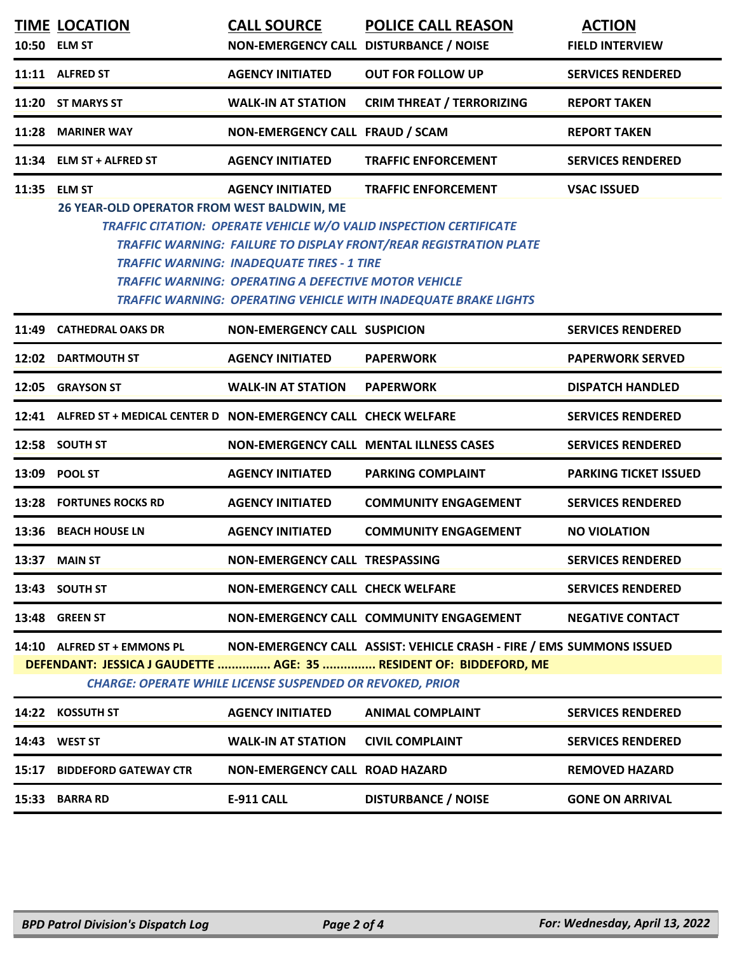| 11:11 ALFRED ST<br><b>AGENCY INITIATED</b><br><b>OUT FOR FOLLOW UP</b><br><b>SERVICES RENDERED</b><br>11:20 ST MARYS ST<br><b>WALK-IN AT STATION</b><br><b>CRIM THREAT / TERRORIZING</b><br><b>REPORT TAKEN</b><br>NON-EMERGENCY CALL FRAUD / SCAM<br><b>REPORT TAKEN</b><br><b>MARINER WAY</b><br>11:28<br><b>AGENCY INITIATED</b><br><b>TRAFFIC ENFORCEMENT</b><br><b>SERVICES RENDERED</b><br>11:34 ELM ST + ALFRED ST<br><b>AGENCY INITIATED</b><br><b>TRAFFIC ENFORCEMENT</b><br><b>VSAC ISSUED</b><br>11:35<br><b>ELM ST</b><br>26 YEAR-OLD OPERATOR FROM WEST BALDWIN, ME<br>TRAFFIC CITATION: OPERATE VEHICLE W/O VALID INSPECTION CERTIFICATE<br><b>TRAFFIC WARNING: FAILURE TO DISPLAY FRONT/REAR REGISTRATION PLATE</b><br><b>TRAFFIC WARNING: INADEQUATE TIRES - 1 TIRE</b><br><b>TRAFFIC WARNING: OPERATING A DEFECTIVE MOTOR VEHICLE</b><br><b>TRAFFIC WARNING: OPERATING VEHICLE WITH INADEQUATE BRAKE LIGHTS</b> |  |
|----------------------------------------------------------------------------------------------------------------------------------------------------------------------------------------------------------------------------------------------------------------------------------------------------------------------------------------------------------------------------------------------------------------------------------------------------------------------------------------------------------------------------------------------------------------------------------------------------------------------------------------------------------------------------------------------------------------------------------------------------------------------------------------------------------------------------------------------------------------------------------------------------------------------------------|--|
|                                                                                                                                                                                                                                                                                                                                                                                                                                                                                                                                                                                                                                                                                                                                                                                                                                                                                                                                  |  |
|                                                                                                                                                                                                                                                                                                                                                                                                                                                                                                                                                                                                                                                                                                                                                                                                                                                                                                                                  |  |
|                                                                                                                                                                                                                                                                                                                                                                                                                                                                                                                                                                                                                                                                                                                                                                                                                                                                                                                                  |  |
|                                                                                                                                                                                                                                                                                                                                                                                                                                                                                                                                                                                                                                                                                                                                                                                                                                                                                                                                  |  |
|                                                                                                                                                                                                                                                                                                                                                                                                                                                                                                                                                                                                                                                                                                                                                                                                                                                                                                                                  |  |
| <b>NON-EMERGENCY CALL SUSPICION</b><br><b>SERVICES RENDERED</b><br>11:49<br><b>CATHEDRAL OAKS DR</b>                                                                                                                                                                                                                                                                                                                                                                                                                                                                                                                                                                                                                                                                                                                                                                                                                             |  |
| 12:02 DARTMOUTH ST<br><b>AGENCY INITIATED</b><br><b>PAPERWORK</b><br><b>PAPERWORK SERVED</b>                                                                                                                                                                                                                                                                                                                                                                                                                                                                                                                                                                                                                                                                                                                                                                                                                                     |  |
| 12:05<br><b>GRAYSON ST</b><br><b>WALK-IN AT STATION</b><br><b>PAPERWORK</b><br><b>DISPATCH HANDLED</b>                                                                                                                                                                                                                                                                                                                                                                                                                                                                                                                                                                                                                                                                                                                                                                                                                           |  |
| 12:41 ALFRED ST + MEDICAL CENTER D NON-EMERGENCY CALL CHECK WELFARE<br><b>SERVICES RENDERED</b>                                                                                                                                                                                                                                                                                                                                                                                                                                                                                                                                                                                                                                                                                                                                                                                                                                  |  |
| 12:58 SOUTH ST<br><b>SERVICES RENDERED</b><br><b>NON-EMERGENCY CALL MENTAL ILLNESS CASES</b>                                                                                                                                                                                                                                                                                                                                                                                                                                                                                                                                                                                                                                                                                                                                                                                                                                     |  |
| 13:09 POOL ST<br><b>AGENCY INITIATED</b><br><b>PARKING COMPLAINT</b><br><b>PARKING TICKET ISSUED</b>                                                                                                                                                                                                                                                                                                                                                                                                                                                                                                                                                                                                                                                                                                                                                                                                                             |  |
| <b>AGENCY INITIATED</b><br><b>SERVICES RENDERED</b><br>13:28 FORTUNES ROCKS RD<br><b>COMMUNITY ENGAGEMENT</b>                                                                                                                                                                                                                                                                                                                                                                                                                                                                                                                                                                                                                                                                                                                                                                                                                    |  |
| <b>AGENCY INITIATED</b><br><b>NO VIOLATION</b><br>13:36<br><b>BEACH HOUSE LN</b><br><b>COMMUNITY ENGAGEMENT</b>                                                                                                                                                                                                                                                                                                                                                                                                                                                                                                                                                                                                                                                                                                                                                                                                                  |  |
| 13:37 MAIN ST<br>NON-EMERGENCY CALL TRESPASSING<br><b>SERVICES RENDERED</b>                                                                                                                                                                                                                                                                                                                                                                                                                                                                                                                                                                                                                                                                                                                                                                                                                                                      |  |
| <b>NON-EMERGENCY CALL CHECK WELFARE</b><br><b>SERVICES RENDERED</b><br>13:43 SOUTH ST                                                                                                                                                                                                                                                                                                                                                                                                                                                                                                                                                                                                                                                                                                                                                                                                                                            |  |
| <b>GREEN ST</b><br>NON-EMERGENCY CALL COMMUNITY ENGAGEMENT<br><b>NEGATIVE CONTACT</b><br>13:48                                                                                                                                                                                                                                                                                                                                                                                                                                                                                                                                                                                                                                                                                                                                                                                                                                   |  |
| 14:10 ALFRED ST + EMMONS PL<br>NON-EMERGENCY CALL ASSIST: VEHICLE CRASH - FIRE / EMS SUMMONS ISSUED<br>DEFENDANT: JESSICA J GAUDETTE  AGE: 35  RESIDENT OF: BIDDEFORD, ME<br><b>CHARGE: OPERATE WHILE LICENSE SUSPENDED OR REVOKED, PRIOR</b>                                                                                                                                                                                                                                                                                                                                                                                                                                                                                                                                                                                                                                                                                    |  |
| <b>AGENCY INITIATED</b><br>14:22 KOSSUTH ST<br><b>ANIMAL COMPLAINT</b><br><b>SERVICES RENDERED</b>                                                                                                                                                                                                                                                                                                                                                                                                                                                                                                                                                                                                                                                                                                                                                                                                                               |  |
| <b>WEST ST</b><br><b>WALK-IN AT STATION</b><br><b>CIVIL COMPLAINT</b><br><b>SERVICES RENDERED</b><br>14:43                                                                                                                                                                                                                                                                                                                                                                                                                                                                                                                                                                                                                                                                                                                                                                                                                       |  |
| <b>NON-EMERGENCY CALL ROAD HAZARD</b><br><b>BIDDEFORD GATEWAY CTR</b><br><b>REMOVED HAZARD</b><br>15:17                                                                                                                                                                                                                                                                                                                                                                                                                                                                                                                                                                                                                                                                                                                                                                                                                          |  |
| E-911 CALL<br><b>DISTURBANCE / NOISE</b><br>15:33<br><b>BARRA RD</b><br><b>GONE ON ARRIVAL</b>                                                                                                                                                                                                                                                                                                                                                                                                                                                                                                                                                                                                                                                                                                                                                                                                                                   |  |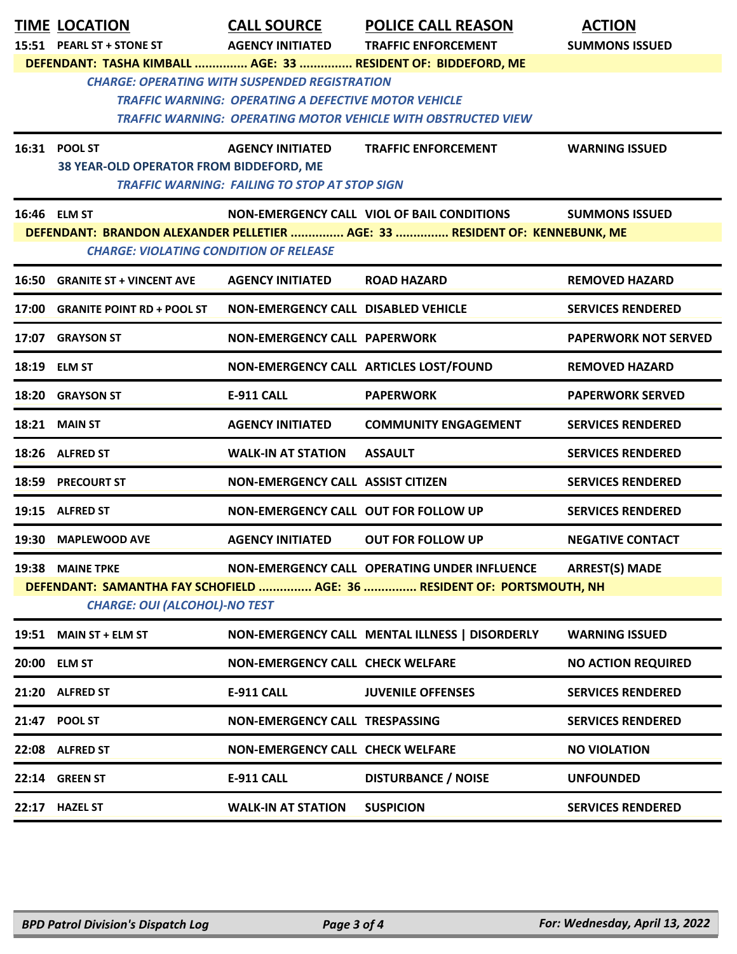| 16:31 POOL ST                                                                                                                                                                                                | 15:51 PEARL ST + STONE ST<br><b>CHARGE: OPERATING WITH SUSPENDED REGISTRATION</b><br>38 YEAR-OLD OPERATOR FROM BIDDEFORD, ME | <b>AGENCY INITIATED</b><br>TRAFFIC WARNING: OPERATING A DEFECTIVE MOTOR VEHICLE<br><b>AGENCY INITIATED</b><br><b>TRAFFIC WARNING: FAILING TO STOP AT STOP SIGN</b> | <b>TRAFFIC ENFORCEMENT</b><br>DEFENDANT: TASHA KIMBALL  AGE: 33  RESIDENT OF: BIDDEFORD, ME<br><b>TRAFFIC WARNING: OPERATING MOTOR VEHICLE WITH OBSTRUCTED VIEW</b><br><b>TRAFFIC ENFORCEMENT</b> | <b>SUMMONS ISSUED</b><br><b>WARNING ISSUED</b> |  |  |  |
|--------------------------------------------------------------------------------------------------------------------------------------------------------------------------------------------------------------|------------------------------------------------------------------------------------------------------------------------------|--------------------------------------------------------------------------------------------------------------------------------------------------------------------|---------------------------------------------------------------------------------------------------------------------------------------------------------------------------------------------------|------------------------------------------------|--|--|--|
|                                                                                                                                                                                                              |                                                                                                                              |                                                                                                                                                                    |                                                                                                                                                                                                   |                                                |  |  |  |
|                                                                                                                                                                                                              |                                                                                                                              |                                                                                                                                                                    |                                                                                                                                                                                                   |                                                |  |  |  |
|                                                                                                                                                                                                              |                                                                                                                              |                                                                                                                                                                    |                                                                                                                                                                                                   |                                                |  |  |  |
| 16:46 ELM ST                                                                                                                                                                                                 |                                                                                                                              |                                                                                                                                                                    | NON-EMERGENCY CALL VIOL OF BAIL CONDITIONS                                                                                                                                                        | <b>SUMMONS ISSUED</b>                          |  |  |  |
| DEFENDANT: BRANDON ALEXANDER PELLETIER  AGE: 33  RESIDENT OF: KENNEBUNK, ME<br><b>CHARGE: VIOLATING CONDITION OF RELEASE</b>                                                                                 |                                                                                                                              |                                                                                                                                                                    |                                                                                                                                                                                                   |                                                |  |  |  |
|                                                                                                                                                                                                              | 16:50 GRANITE ST + VINCENT AVE                                                                                               | <b>AGENCY INITIATED</b>                                                                                                                                            | <b>ROAD HAZARD</b>                                                                                                                                                                                | <b>REMOVED HAZARD</b>                          |  |  |  |
|                                                                                                                                                                                                              | 17:00 GRANITE POINT RD + POOL ST                                                                                             | <b>NON-EMERGENCY CALL DISABLED VEHICLE</b>                                                                                                                         |                                                                                                                                                                                                   | <b>SERVICES RENDERED</b>                       |  |  |  |
| 17:07 GRAYSON ST                                                                                                                                                                                             |                                                                                                                              | <b>NON-EMERGENCY CALL PAPERWORK</b>                                                                                                                                |                                                                                                                                                                                                   | <b>PAPERWORK NOT SERVED</b>                    |  |  |  |
| 18:19 ELM ST                                                                                                                                                                                                 |                                                                                                                              | NON-EMERGENCY CALL ARTICLES LOST/FOUND                                                                                                                             |                                                                                                                                                                                                   | <b>REMOVED HAZARD</b>                          |  |  |  |
| 18:20 GRAYSON ST                                                                                                                                                                                             |                                                                                                                              | <b>E-911 CALL</b>                                                                                                                                                  | <b>PAPERWORK</b>                                                                                                                                                                                  | <b>PAPERWORK SERVED</b>                        |  |  |  |
| <b>18:21 MAIN ST</b>                                                                                                                                                                                         |                                                                                                                              | <b>AGENCY INITIATED</b>                                                                                                                                            | <b>COMMUNITY ENGAGEMENT</b>                                                                                                                                                                       | <b>SERVICES RENDERED</b>                       |  |  |  |
| 18:26 ALFRED ST                                                                                                                                                                                              |                                                                                                                              | <b>WALK-IN AT STATION</b>                                                                                                                                          | <b>ASSAULT</b>                                                                                                                                                                                    | <b>SERVICES RENDERED</b>                       |  |  |  |
| 18:59                                                                                                                                                                                                        | <b>PRECOURT ST</b>                                                                                                           | <b>NON-EMERGENCY CALL ASSIST CITIZEN</b>                                                                                                                           |                                                                                                                                                                                                   | <b>SERVICES RENDERED</b>                       |  |  |  |
| 19:15 ALFRED ST                                                                                                                                                                                              |                                                                                                                              | NON-EMERGENCY CALL OUT FOR FOLLOW UP                                                                                                                               |                                                                                                                                                                                                   | <b>SERVICES RENDERED</b>                       |  |  |  |
|                                                                                                                                                                                                              | 19:30 MAPLEWOOD AVE                                                                                                          | <b>AGENCY INITIATED</b>                                                                                                                                            | <b>OUT FOR FOLLOW UP</b>                                                                                                                                                                          | <b>NEGATIVE CONTACT</b>                        |  |  |  |
| NON-EMERGENCY CALL OPERATING UNDER INFLUENCE<br><b>ARREST(S) MADE</b><br>19:38 MAINE TPKE<br>DEFENDANT: SAMANTHA FAY SCHOFIELD  AGE: 36  RESIDENT OF: PORTSMOUTH, NH<br><b>CHARGE: OUI (ALCOHOL)-NO TEST</b> |                                                                                                                              |                                                                                                                                                                    |                                                                                                                                                                                                   |                                                |  |  |  |
|                                                                                                                                                                                                              | 19:51 MAIN ST + ELM ST                                                                                                       |                                                                                                                                                                    | NON-EMERGENCY CALL MENTAL ILLNESS   DISORDERLY                                                                                                                                                    | <b>WARNING ISSUED</b>                          |  |  |  |
| 20:00 ELM ST                                                                                                                                                                                                 |                                                                                                                              | <b>NON-EMERGENCY CALL CHECK WELFARE</b>                                                                                                                            |                                                                                                                                                                                                   | <b>NO ACTION REQUIRED</b>                      |  |  |  |
| 21:20 ALFRED ST                                                                                                                                                                                              |                                                                                                                              | <b>E-911 CALL</b>                                                                                                                                                  | <b>JUVENILE OFFENSES</b>                                                                                                                                                                          | <b>SERVICES RENDERED</b>                       |  |  |  |
| 21:47 POOL ST                                                                                                                                                                                                |                                                                                                                              | NON-EMERGENCY CALL TRESPASSING                                                                                                                                     |                                                                                                                                                                                                   | <b>SERVICES RENDERED</b>                       |  |  |  |
| 22:08 ALFRED ST                                                                                                                                                                                              |                                                                                                                              | <b>NON-EMERGENCY CALL CHECK WELFARE</b>                                                                                                                            |                                                                                                                                                                                                   | <b>NO VIOLATION</b>                            |  |  |  |
| 22:14 GREEN ST                                                                                                                                                                                               |                                                                                                                              | <b>E-911 CALL</b>                                                                                                                                                  | <b>DISTURBANCE / NOISE</b>                                                                                                                                                                        | <b>UNFOUNDED</b>                               |  |  |  |
| 22:17 HAZEL ST                                                                                                                                                                                               |                                                                                                                              | <b>WALK-IN AT STATION</b>                                                                                                                                          | <b>SUSPICION</b>                                                                                                                                                                                  | <b>SERVICES RENDERED</b>                       |  |  |  |